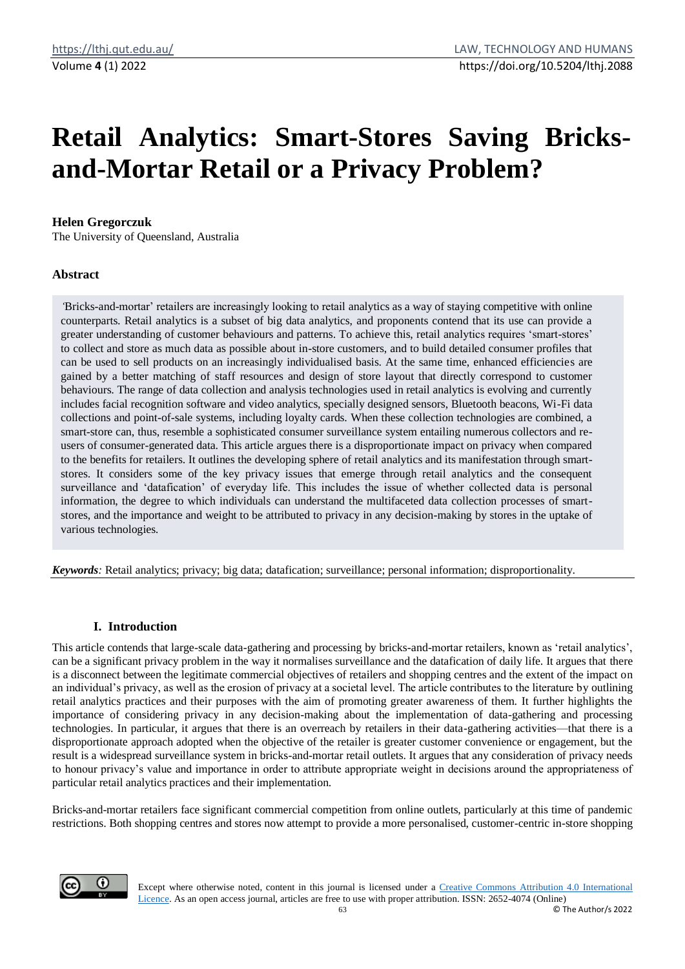# **Retail Analytics: Smart-Stores Saving Bricksand-Mortar Retail or a Privacy Problem?**

# **Helen Gregorczuk**

The University of Queensland, Australia

# **Abstract**

*'*Bricks-and-mortar' retailers are increasingly looking to retail analytics as a way of staying competitive with online counterparts. Retail analytics is a subset of big data analytics, and proponents contend that its use can provide a greater understanding of customer behaviours and patterns. To achieve this, retail analytics requires 'smart-stores' to collect and store as much data as possible about in-store customers, and to build detailed consumer profiles that can be used to sell products on an increasingly individualised basis. At the same time, enhanced efficiencies are gained by a better matching of staff resources and design of store layout that directly correspond to customer behaviours. The range of data collection and analysis technologies used in retail analytics is evolving and currently includes facial recognition software and video analytics, specially designed sensors, Bluetooth beacons, Wi-Fi data collections and point-of-sale systems, including loyalty cards. When these collection technologies are combined, a smart-store can, thus, resemble a sophisticated consumer surveillance system entailing numerous collectors and reusers of consumer-generated data. This article argues there is a disproportionate impact on privacy when compared to the benefits for retailers. It outlines the developing sphere of retail analytics and its manifestation through smartstores. It considers some of the key privacy issues that emerge through retail analytics and the consequent surveillance and 'datafication' of everyday life. This includes the issue of whether collected data is personal information, the degree to which individuals can understand the multifaceted data collection processes of smartstores, and the importance and weight to be attributed to privacy in any decision-making by stores in the uptake of various technologies*.*

*Keywords:* Retail analytics; privacy; big data; datafication; surveillance; personal information; disproportionality.

# **I. Introduction**

This article contends that large-scale data-gathering and processing by bricks-and-mortar retailers, known as 'retail analytics', can be a significant privacy problem in the way it normalises surveillance and the datafication of daily life. It argues that there is a disconnect between the legitimate commercial objectives of retailers and shopping centres and the extent of the impact on an individual's privacy, as well as the erosion of privacy at a societal level. The article contributes to the literature by outlining retail analytics practices and their purposes with the aim of promoting greater awareness of them. It further highlights the importance of considering privacy in any decision-making about the implementation of data-gathering and processing technologies. In particular, it argues that there is an overreach by retailers in their data-gathering activities—that there is a disproportionate approach adopted when the objective of the retailer is greater customer convenience or engagement, but the result is a widespread surveillance system in bricks-and-mortar retail outlets. It argues that any consideration of privacy needs to honour privacy's value and importance in order to attribute appropriate weight in decisions around the appropriateness of particular retail analytics practices and their implementation.

Bricks-and-mortar retailers face significant commercial competition from online outlets, particularly at this time of pandemic restrictions. Both shopping centres and stores now attempt to provide a more personalised, customer-centric in-store shopping

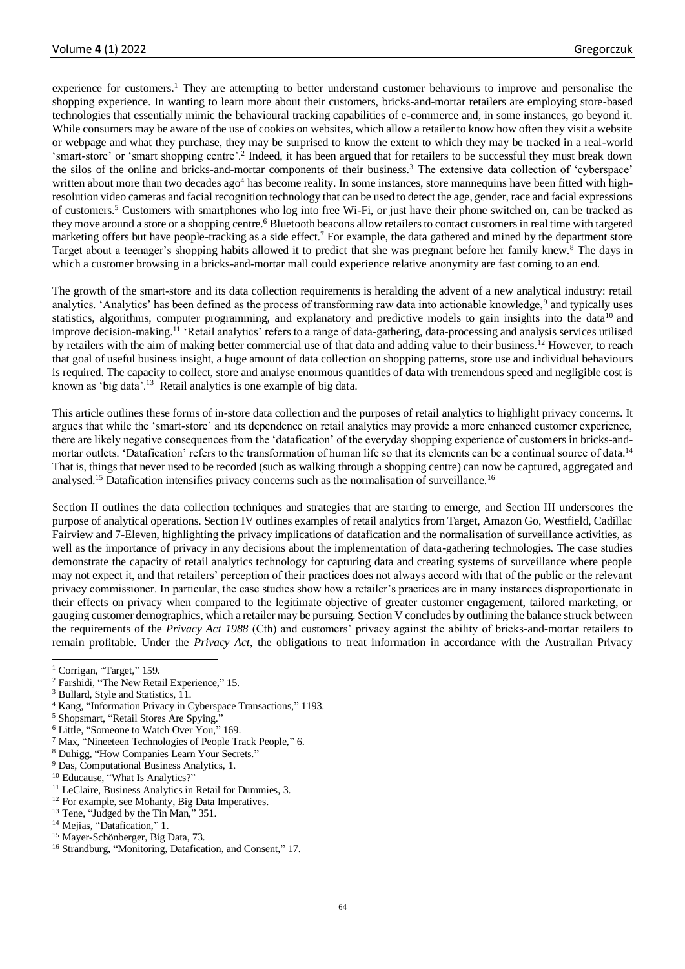experience for customers.<sup>1</sup> They are attempting to better understand customer behaviours to improve and personalise the shopping experience. In wanting to learn more about their customers, bricks-and-mortar retailers are employing store-based technologies that essentially mimic the behavioural tracking capabilities of e-commerce and, in some instances, go beyond it. While consumers may be aware of the use of cookies on websites, which allow a retailer to know how often they visit a website or webpage and what they purchase, they may be surprised to know the extent to which they may be tracked in a real-world 'smart-store' or 'smart shopping centre'.<sup>2</sup> Indeed, it has been argued that for retailers to be successful they must break down the silos of the online and bricks-and-mortar components of their business.<sup>3</sup> The extensive data collection of 'cyberspace' written about more than two decades  $ago<sup>4</sup>$  has become reality. In some instances, store mannequins have been fitted with highresolution video cameras and facial recognition technology that can be used to detect the age, gender, race and facial expressions of customers.<sup>5</sup> Customers with smartphones who log into free Wi-Fi, or just have their phone switched on, can be tracked as they move around a store or a shopping centre.<sup>6</sup> Bluetooth beacons allow retailers to contact customers in real time with targeted marketing offers but have people-tracking as a side effect.<sup>7</sup> For example, the data gathered and mined by the department store Target about a teenager's shopping habits allowed it to predict that she was pregnant before her family knew.<sup>8</sup> The days in which a customer browsing in a bricks-and-mortar mall could experience relative anonymity are fast coming to an end.

The growth of the smart-store and its data collection requirements is heralding the advent of a new analytical industry: retail analytics. 'Analytics' has been defined as the process of transforming raw data into actionable knowledge,<sup>9</sup> and typically uses statistics, algorithms, computer programming, and explanatory and predictive models to gain insights into the data<sup>10</sup> and improve decision-making.<sup>11</sup> 'Retail analytics' refers to a range of data-gathering, data-processing and analysis services utilised by retailers with the aim of making better commercial use of that data and adding value to their business.<sup>12</sup> However, to reach that goal of useful business insight, a huge amount of data collection on shopping patterns, store use and individual behaviours is required. The capacity to collect, store and analyse enormous quantities of data with tremendous speed and negligible cost is known as 'big data'.<sup>13</sup> Retail analytics is one example of big data.

This article outlines these forms of in-store data collection and the purposes of retail analytics to highlight privacy concerns. It argues that while the 'smart-store' and its dependence on retail analytics may provide a more enhanced customer experience, there are likely negative consequences from the 'datafication' of the everyday shopping experience of customers in bricks-andmortar outlets. 'Datafication' refers to the transformation of human life so that its elements can be a continual source of data.<sup>14</sup> That is, things that never used to be recorded (such as walking through a shopping centre) can now be captured, aggregated and analysed.<sup>15</sup> Datafication intensifies privacy concerns such as the normalisation of surveillance.<sup>16</sup>

Section II outlines the data collection techniques and strategies that are starting to emerge, and Section III underscores the purpose of analytical operations. Section IV outlines examples of retail analytics from Target, Amazon Go, Westfield, Cadillac Fairview and 7-Eleven, highlighting the privacy implications of datafication and the normalisation of surveillance activities, as well as the importance of privacy in any decisions about the implementation of data-gathering technologies. The case studies demonstrate the capacity of retail analytics technology for capturing data and creating systems of surveillance where people may not expect it, and that retailers' perception of their practices does not always accord with that of the public or the relevant privacy commissioner. In particular, the case studies show how a retailer's practices are in many instances disproportionate in their effects on privacy when compared to the legitimate objective of greater customer engagement, tailored marketing, or gauging customer demographics, which a retailer may be pursuing. Section V concludes by outlining the balance struck between the requirements of the *Privacy Act 1988* (Cth) and customers' privacy against the ability of bricks-and-mortar retailers to remain profitable. Under the *Privacy Act*, the obligations to treat information in accordance with the Australian Privacy

- <sup>7</sup> Max, "Nineeteen Technologies of People Track People," 6.
- <sup>8</sup> Duhigg, "How Companies Learn Your Secrets."
- <sup>9</sup> Das, Computational Business Analytics, 1.
- <sup>10</sup> Educause, "What Is Analytics?"
- <sup>11</sup> LeClaire, Business Analytics in Retail for Dummies, 3.
- <sup>12</sup> For example, see Mohanty, Big Data Imperatives.

- <sup>14</sup> Mejias, "Datafication," 1.
- <sup>15</sup> Mayer-Schönberger, Big Data, 73.
- <sup>16</sup> Strandburg, "Monitoring, Datafication, and Consent," 17.

<sup>&</sup>lt;sup>1</sup> Corrigan, "Target," 159.

<sup>&</sup>lt;sup>2</sup> Farshidi, "The New Retail Experience," 15.

<sup>&</sup>lt;sup>3</sup> Bullard, Style and Statistics, 11.

<sup>4</sup> Kang, "Information Privacy in Cyberspace Transactions," 1193.

<sup>5</sup> Shopsmart, "Retail Stores Are Spying."

<sup>6</sup> Little, "Someone to Watch Over You," 169.

<sup>&</sup>lt;sup>13</sup> Tene, "Judged by the Tin Man," 351.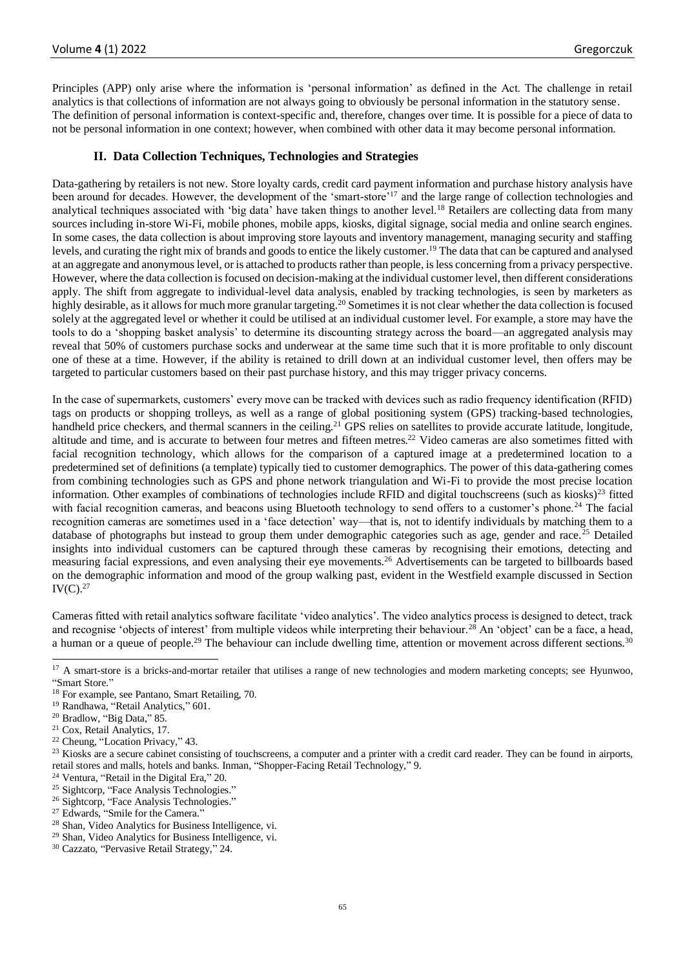Principles (APP) only arise where the information is 'personal information' as defined in the Act. The challenge in retail analytics is that collections of information are not always going to obviously be personal information in the statutory sense. The definition of personal information is context-specific and, therefore, changes over time. It is possible for a piece of data to not be personal information in one context; however, when combined with other data it may become personal information.

## **II. Data Collection Techniques, Technologies and Strategies**

Data-gathering by retailers is not new. Store loyalty cards, credit card payment information and purchase history analysis have been around for decades. However, the development of the 'smart-store'<sup>17</sup> and the large range of collection technologies and analytical techniques associated with 'big data' have taken things to another level.<sup>18</sup> Retailers are collecting data from many sources including in-store Wi-Fi, mobile phones, mobile apps, kiosks, digital signage, social media and online search engines. In some cases, the data collection is about improving store layouts and inventory management, managing security and staffing levels, and curating the right mix of brands and goods to entice the likely customer.<sup>19</sup> The data that can be captured and analysed at an aggregate and anonymous level, or is attached to products rather than people, is less concerning from a privacy perspective. However, where the data collection is focused on decision-making at the individual customer level, then different considerations apply. The shift from aggregate to individual-level data analysis, enabled by tracking technologies, is seen by marketers as highly desirable, as it allows for much more granular targeting.<sup>20</sup> Sometimes it is not clear whether the data collection is focused solely at the aggregated level or whether it could be utilised at an individual customer level. For example, a store may have the tools to do a 'shopping basket analysis' to determine its discounting strategy across the board—an aggregated analysis may reveal that 50% of customers purchase socks and underwear at the same time such that it is more profitable to only discount one of these at a time. However, if the ability is retained to drill down at an individual customer level, then offers may be targeted to particular customers based on their past purchase history, and this may trigger privacy concerns.

In the case of supermarkets, customers' every move can be tracked with devices such as radio frequency identification (RFID) tags on products or shopping trolleys, as well as a range of global positioning system (GPS) tracking-based technologies, handheld price checkers, and thermal scanners in the ceiling.<sup>21</sup> GPS relies on satellites to provide accurate latitude, longitude, altitude and time, and is accurate to between four metres and fifteen metres.<sup>22</sup> Video cameras are also sometimes fitted with facial recognition technology, which allows for the comparison of a captured image at a predetermined location to a predetermined set of definitions (a template) typically tied to customer demographics. The power of this data-gathering comes from combining technologies such as GPS and phone network triangulation and Wi-Fi to provide the most precise location information. Other examples of combinations of technologies include RFID and digital touchscreens (such as kiosks)<sup>23</sup> fitted with facial recognition cameras, and beacons using Bluetooth technology to send offers to a customer's phone.<sup>24</sup> The facial recognition cameras are sometimes used in a 'face detection' way—that is, not to identify individuals by matching them to a database of photographs but instead to group them under demographic categories such as age, gender and race.<sup>25</sup> Detailed insights into individual customers can be captured through these cameras by recognising their emotions, detecting and measuring facial expressions, and even analysing their eye movements.<sup>26</sup> Advertisements can be targeted to billboards based on the demographic information and mood of the group walking past, evident in the Westfield example discussed in Section  $IV(C).^{27}$ 

<span id="page-2-0"></span>Cameras fitted with retail analytics software facilitate 'video analytics'. The video analytics process is designed to detect, track and recognise 'objects of interest' from multiple videos while interpreting their behaviour.<sup>28</sup> An 'object' can be a face, a head, a human or a queue of people.<sup>29</sup> The behaviour can include dwelling time, attention or movement across different sections.<sup>30</sup>

<sup>28</sup> Shan, Video Analytics for Business Intelligence, vi.

<sup>&</sup>lt;sup>17</sup> A smart-store is a bricks-and-mortar retailer that utilises a range of new technologies and modern marketing concepts; see Hyunwoo, "Smart Store."

<sup>&</sup>lt;sup>18</sup> For example, see Pantano, Smart Retailing, 70.

<sup>&</sup>lt;sup>19</sup> Randhawa, "Retail Analytics," 601.

<sup>20</sup> Bradlow, "Big Data," 85.

<sup>21</sup> Cox, Retail Analytics, 17.

<sup>22</sup> Cheung, "Location Privacy," 43.

<sup>&</sup>lt;sup>23</sup> Kiosks are a secure cabinet consisting of touchscreens, a computer and a printer with a credit card reader. They can be found in airports, retail stores and malls, hotels and banks. Inman, "Shopper-Facing Retail Technology," 9.

<sup>24</sup> Ventura, "Retail in the Digital Era," 20.

<sup>&</sup>lt;sup>25</sup> Sightcorp, "Face Analysis Technologies."

<sup>26</sup> Sightcorp, "Face Analysis Technologies."

<sup>&</sup>lt;sup>27</sup> Edwards, "Smile for the Camera."

<sup>29</sup> Shan, Video Analytics for Business Intelligence, vi.

<sup>30</sup> Cazzato, "Pervasive Retail Strategy," 24.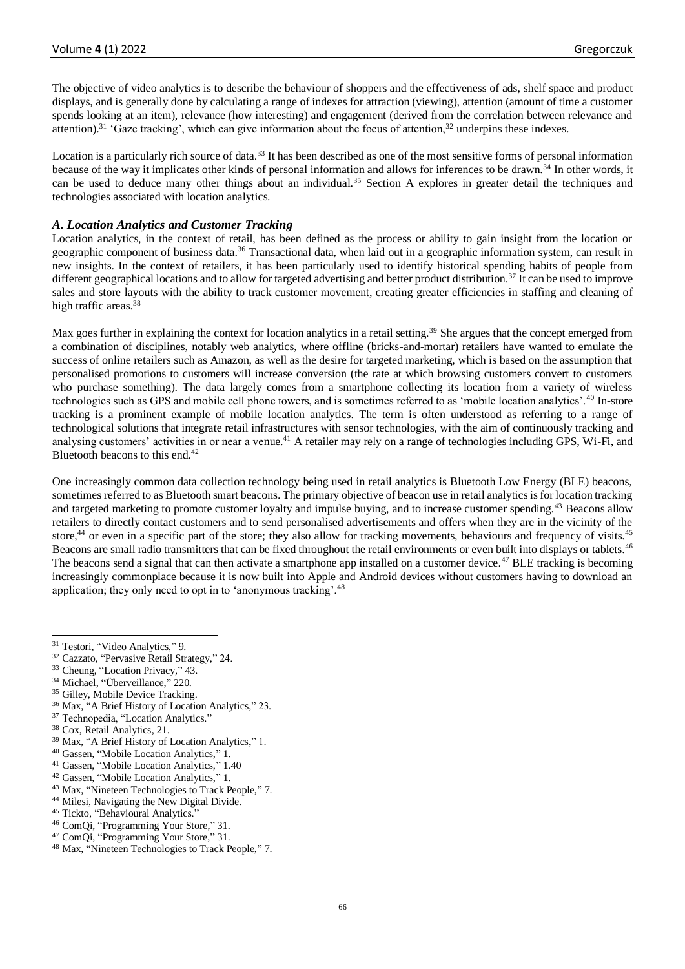The objective of video analytics is to describe the behaviour of shoppers and the effectiveness of ads, shelf space and product displays, and is generally done by calculating a range of indexes for attraction (viewing), attention (amount of time a customer spends looking at an item), relevance (how interesting) and engagement (derived from the correlation between relevance and attention).<sup>31</sup> 'Gaze tracking', which can give information about the focus of attention, $32$  underpins these indexes.

Location is a particularly rich source of data.<sup>33</sup> It has been described as one of the most sensitive forms of personal information because of the way it implicates other kinds of personal information and allows for inferences to be drawn.<sup>34</sup> In other words, it can be used to deduce many other things about an individual.<sup>35</sup> Section A explores in greater detail the techniques and technologies associated with location analytics.

## *A. Location Analytics and Customer Tracking*

Location analytics, in the context of retail, has been defined as the process or ability to gain insight from the location or geographic component of business data.<sup>36</sup> Transactional data, when laid out in a geographic information system, can result in new insights. In the context of retailers, it has been particularly used to identify historical spending habits of people from different geographical locations and to allow for targeted advertising and better product distribution.<sup>37</sup> It can be used to improve sales and store layouts with the ability to track customer movement, creating greater efficiencies in staffing and cleaning of high traffic areas.<sup>38</sup>

<span id="page-3-0"></span>Max goes further in explaining the context for location analytics in a retail setting.<sup>39</sup> She argues that the concept emerged from a combination of disciplines, notably web analytics, where offline (bricks-and-mortar) retailers have wanted to emulate the success of online retailers such as Amazon, as well as the desire for targeted marketing, which is based on the assumption that personalised promotions to customers will increase conversion (the rate at which browsing customers convert to customers who purchase something). The data largely comes from a smartphone collecting its location from a variety of wireless technologies such as GPS and mobile cell phone towers, and is sometimes referred to as 'mobile location analytics'.<sup>40</sup> In-store tracking is a prominent example of mobile location analytics. The term is often understood as referring to a range of technological solutions that integrate retail infrastructures with sensor technologies, with the aim of continuously tracking and analysing customers' activities in or near a venue.<sup>41</sup> A retailer may rely on a range of technologies including GPS, Wi-Fi, and Bluetooth beacons to this end.<sup>42</sup>

One increasingly common data collection technology being used in retail analytics is Bluetooth Low Energy (BLE) beacons, sometimes referred to as Bluetooth smart beacons. The primary objective of beacon use in retail analytics is for location tracking and targeted marketing to promote customer loyalty and impulse buying, and to increase customer spending.<sup>43</sup> Beacons allow retailers to directly contact customers and to send personalised advertisements and offers when they are in the vicinity of the store,<sup>44</sup> or even in a specific part of the store; they also allow for tracking movements, behaviours and frequency of visits.<sup>45</sup> Beacons are small radio transmitters that can be fixed throughout the retail environments or even built into displays or tablets.<sup>46</sup> The beacons send a signal that can then activate a smartphone app installed on a customer device.<sup>47</sup> BLE tracking is becoming increasingly commonplace because it is now built into Apple and Android devices without customers having to download an application; they only need to opt in to 'anonymous tracking'.<sup>48</sup>

- <sup>33</sup> Cheung, "Location Privacy," 43.
- <sup>34</sup> Michael, "Überveillance," 220.
- <sup>35</sup> Gilley, Mobile Device Tracking.
- <sup>36</sup> Max, "A Brief History of Location Analytics," 23.
- <sup>37</sup> Technopedia, "Location Analytics."
- <sup>38</sup> Cox, Retail Analytics, 21.
- <sup>39</sup> Max, "A Brief History of Location Analytics," 1.
- <sup>40</sup> Gassen, "Mobile Location Analytics," 1.
- <sup>41</sup> Gassen, "Mobile Location Analytics," [1.40](#page-3-0)
- <sup>42</sup> Gassen, "Mobile Location Analytics," 1.
- <sup>43</sup> Max, "Nineteen Technologies to Track People," 7.
- <sup>44</sup> Milesi, Navigating the New Digital Divide.
- <sup>45</sup> Tickto, "Behavioural Analytics."
- <sup>46</sup> ComQi, "Programming Your Store," 31.
- <sup>47</sup> ComQi, "Programming Your Store," 31.
- <sup>48</sup> Max, "Nineteen Technologies to Track People," 7.

<sup>&</sup>lt;sup>31</sup> Testori, "Video Analytics," 9.

<sup>32</sup> Cazzato, "Pervasive Retail Strategy," 24.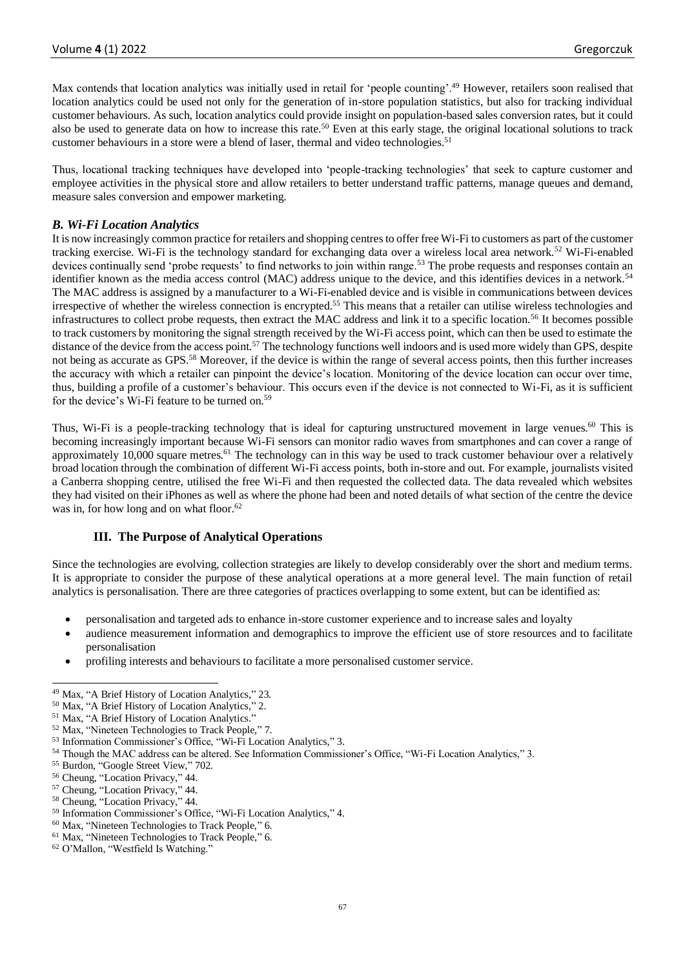Max contends that location analytics was initially used in retail for 'people counting'.<sup>49</sup> However, retailers soon realised that location analytics could be used not only for the generation of in-store population statistics, but also for tracking individual customer behaviours. As such, location analytics could provide insight on population-based sales conversion rates, but it could also be used to generate data on how to increase this rate.<sup>50</sup> Even at this early stage, the original locational solutions to track customer behaviours in a store were a blend of laser, thermal and video technologies.<sup>51</sup>

Thus, locational tracking techniques have developed into 'people-tracking technologies' that seek to capture customer and employee activities in the physical store and allow retailers to better understand traffic patterns, manage queues and demand, measure sales conversion and empower marketing.

# *B. Wi-Fi Location Analytics*

It is now increasingly common practice for retailers and shopping centres to offer free Wi-Fi to customers as part of the customer tracking exercise. Wi-Fi is the technology standard for exchanging data over a wireless local area network.<sup>52</sup> Wi-Fi-enabled devices continually send 'probe requests' to find networks to join within range.<sup>53</sup> The probe requests and responses contain an identifier known as the media access control (MAC) address unique to the device, and this identifies devices in a network.<sup>54</sup> The MAC address is assigned by a manufacturer to a Wi-Fi-enabled device and is visible in communications between devices irrespective of whether the wireless connection is encrypted.<sup>55</sup> This means that a retailer can utilise wireless technologies and infrastructures to collect probe requests, then extract the MAC address and link it to a specific location.<sup>56</sup> It becomes possible to track customers by monitoring the signal strength received by the Wi-Fi access point, which can then be used to estimate the distance of the device from the access point.<sup>57</sup> The technology functions well indoors and is used more widely than GPS, despite not being as accurate as GPS.<sup>58</sup> Moreover, if the device is within the range of several access points, then this further increases the accuracy with which a retailer can pinpoint the device's location. Monitoring of the device location can occur over time, thus, building a profile of a customer's behaviour. This occurs even if the device is not connected to Wi-Fi, as it is sufficient for the device's Wi-Fi feature to be turned on.<sup>59</sup>

Thus, Wi-Fi is a people-tracking technology that is ideal for capturing unstructured movement in large venues.<sup>60</sup> This is becoming increasingly important because Wi-Fi sensors can monitor radio waves from smartphones and can cover a range of approximately  $10,000$  square metres.<sup>61</sup> The technology can in this way be used to track customer behaviour over a relatively broad location through the combination of different Wi-Fi access points, both in-store and out. For example, journalists visited a Canberra shopping centre, utilised the free Wi-Fi and then requested the collected data. The data revealed which websites they had visited on their iPhones as well as where the phone had been and noted details of what section of the centre the device was in, for how long and on what floor.<sup>62</sup>

# **III. The Purpose of Analytical Operations**

Since the technologies are evolving, collection strategies are likely to develop considerably over the short and medium terms. It is appropriate to consider the purpose of these analytical operations at a more general level. The main function of retail analytics is personalisation. There are three categories of practices overlapping to some extent, but can be identified as:

- personalisation and targeted ads to enhance in-store customer experience and to increase sales and loyalty
- audience measurement information and demographics to improve the efficient use of store resources and to facilitate personalisation
- profiling interests and behaviours to facilitate a more personalised customer service.

<sup>58</sup> Cheung, "Location Privacy," 44.

<sup>49</sup> Max, "A Brief History of Location Analytics," 23.

<sup>50</sup> Max, "A Brief History of Location Analytics," 2.

<sup>&</sup>lt;sup>51</sup> Max, "A Brief History of Location Analytics."

<sup>52</sup> Max, "Nineteen Technologies to Track People," 7.

<sup>53</sup> Information Commissioner's Office, "Wi-Fi Location Analytics," 3.

<sup>54</sup> Though the MAC address can be altered. See Information Commissioner's Office, "Wi-Fi Location Analytics," 3.

<sup>55</sup> Burdon, "Google Street View," 702.

<sup>56</sup> Cheung, "Location Privacy," 44.

<sup>57</sup> Cheung, "Location Privacy," 44.

<sup>59</sup> Information Commissioner's Office, "Wi-Fi Location Analytics," 4.

<sup>60</sup> Max, "Nineteen Technologies to Track People," 6.

<sup>61</sup> Max, "Nineteen Technologies to Track People," 6.

<sup>62</sup> O'Mallon, "Westfield Is Watching."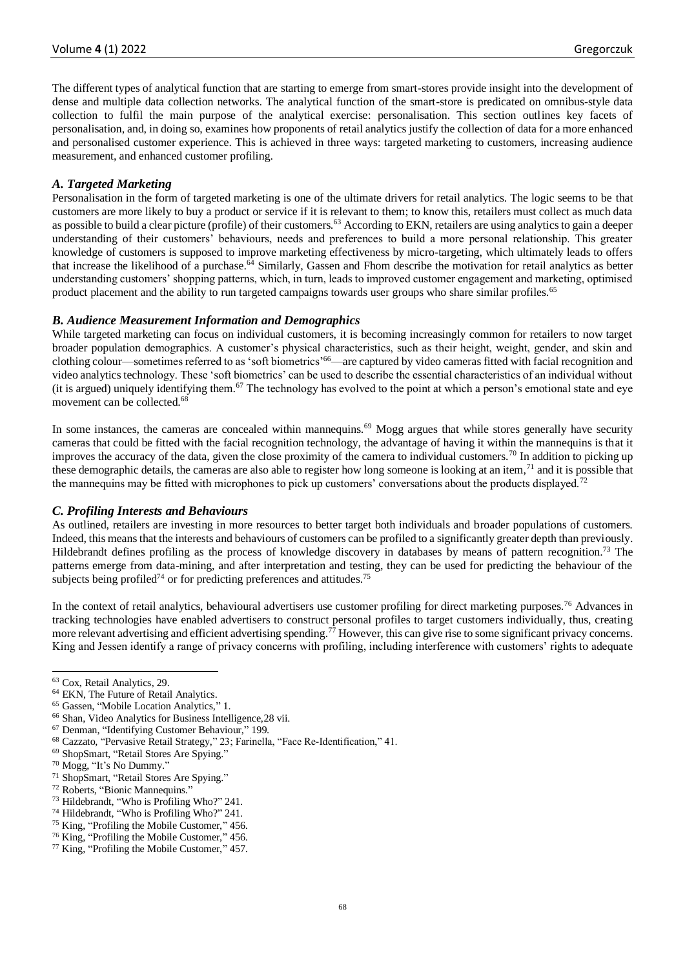The different types of analytical function that are starting to emerge from smart-stores provide insight into the development of dense and multiple data collection networks. The analytical function of the smart-store is predicated on omnibus-style data collection to fulfil the main purpose of the analytical exercise: personalisation. This section outlines key facets of personalisation, and, in doing so, examines how proponents of retail analytics justify the collection of data for a more enhanced and personalised customer experience. This is achieved in three ways: targeted marketing to customers, increasing audience measurement, and enhanced customer profiling.

## *A. Targeted Marketing*

Personalisation in the form of targeted marketing is one of the ultimate drivers for retail analytics. The logic seems to be that customers are more likely to buy a product or service if it is relevant to them; to know this, retailers must collect as much data as possible to build a clear picture (profile) of their customers.<sup>63</sup> According to EKN, retailers are using analytics to gain a deeper understanding of their customers' behaviours, needs and preferences to build a more personal relationship. This greater knowledge of customers is supposed to improve marketing effectiveness by micro-targeting, which ultimately leads to offers that increase the likelihood of a purchase.<sup>64</sup> Similarly, Gassen and Fhom describe the motivation for retail analytics as better understanding customers' shopping patterns, which, in turn, leads to improved customer engagement and marketing, optimised product placement and the ability to run targeted campaigns towards user groups who share similar profiles.<sup>65</sup>

## *B. Audience Measurement Information and Demographics*

While targeted marketing can focus on individual customers, it is becoming increasingly common for retailers to now target broader population demographics. A customer's physical characteristics, such as their height, weight, gender, and skin and clothing colour—sometimes referred to as 'soft biometrics'<sup>66</sup>—are captured by video cameras fitted with facial recognition and video analytics technology. These 'soft biometrics' can be used to describe the essential characteristics of an individual without (it is argued) uniquely identifying them.<sup>67</sup> The technology has evolved to the point at which a person's emotional state and eye movement can be collected.<sup>68</sup>

In some instances, the cameras are concealed within mannequins.<sup>69</sup> Mogg argues that while stores generally have security cameras that could be fitted with the facial recognition technology, the advantage of having it within the mannequins is that it improves the accuracy of the data, given the close proximity of the camera to individual customers.<sup>70</sup> In addition to picking up these demographic details, the cameras are also able to register how long someone is looking at an item, $71$  and it is possible that the mannequins may be fitted with microphones to pick up customers' conversations about the products displayed.<sup>72</sup>

#### *C. Profiling Interests and Behaviours*

As outlined, retailers are investing in more resources to better target both individuals and broader populations of customers. Indeed, this means that the interests and behaviours of customers can be profiled to a significantly greater depth than previously. Hildebrandt defines profiling as the process of knowledge discovery in databases by means of pattern recognition.<sup>73</sup> The patterns emerge from data-mining, and after interpretation and testing, they can be used for predicting the behaviour of the subjects being profiled<sup>74</sup> or for predicting preferences and attitudes.<sup>75</sup>

In the context of retail analytics, behavioural advertisers use customer profiling for direct marketing purposes.<sup>76</sup> Advances in tracking technologies have enabled advertisers to construct personal profiles to target customers individually, thus, creating more relevant advertising and efficient advertising spending.<sup>77</sup> However, this can give rise to some significant privacy concerns. King and Jessen identify a range of privacy concerns with profiling, including interference with customers' rights to adequate

<sup>63</sup> Cox, Retail Analytics, 29.

<sup>64</sup> EKN, The Future of Retail Analytics.

<sup>65</sup> Gassen, "Mobile Location Analytics," 1.

<sup>66</sup> Shan, Video Analytics for Business Intelligence[,28](#page-2-0) vii.

<sup>67</sup> Denman, "Identifying Customer Behaviour," 199.

<sup>68</sup> Cazzato, "Pervasive Retail Strategy," 23; Farinella, "Face Re-Identification," 41.

<sup>69</sup> ShopSmart, "Retail Stores Are Spying."

<sup>70</sup> Mogg, "It's No Dummy."

<sup>71</sup> ShopSmart, "Retail Stores Are Spying."

<sup>72</sup> Roberts, "Bionic Mannequins."

<sup>73</sup> Hildebrandt, "Who is Profiling Who?" 241.

<sup>74</sup> Hildebrandt, "Who is Profiling Who?" 241.

<sup>75</sup> King, "Profiling the Mobile Customer," 456.

<sup>76</sup> King, "Profiling the Mobile Customer," 456.

<sup>77</sup> King, "Profiling the Mobile Customer," 457.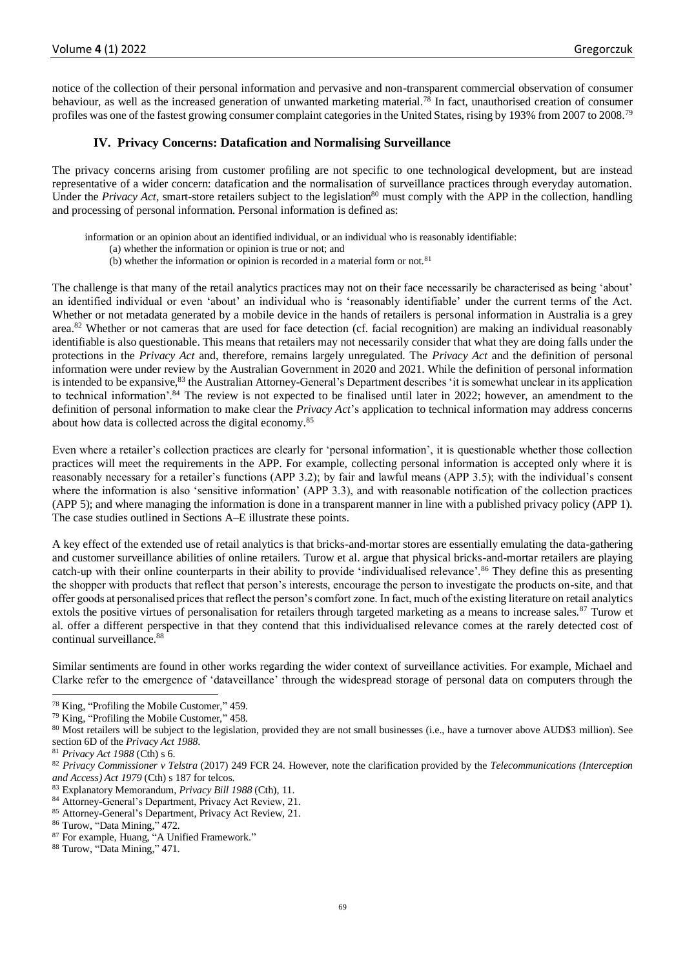notice of the collection of their personal information and pervasive and non-transparent commercial observation of consumer behaviour, as well as the increased generation of unwanted marketing material.<sup>78</sup> In fact, unauthorised creation of consumer profiles was one of the fastest growing consumer complaint categories in the United States, rising by 193% from 2007 to 2008.<sup>79</sup>

#### **IV. Privacy Concerns: Datafication and Normalising Surveillance**

The privacy concerns arising from customer profiling are not specific to one technological development, but are instead representative of a wider concern: datafication and the normalisation of surveillance practices through everyday automation. Under the *Privacy Act*, smart-store retailers subject to the legislation<sup>80</sup> must comply with the APP in the collection, handling and processing of personal information. Personal information is defined as:

information or an opinion about an identified individual, or an individual who is reasonably identifiable:

- (a) whether the information or opinion is true or not; and
- (b) whether the information or opinion is recorded in a material form or not.<sup>81</sup>

The challenge is that many of the retail analytics practices may not on their face necessarily be characterised as being 'about' an identified individual or even 'about' an individual who is 'reasonably identifiable' under the current terms of the Act. Whether or not metadata generated by a mobile device in the hands of retailers is personal information in Australia is a grey area.<sup>82</sup> Whether or not cameras that are used for face detection (cf. facial recognition) are making an individual reasonably identifiable is also questionable. This means that retailers may not necessarily consider that what they are doing falls under the protections in the *Privacy Act* and, therefore, remains largely unregulated. The *Privacy Act* and the definition of personal information were under review by the Australian Government in 2020 and 2021. While the definition of personal information is intended to be expansive,<sup>83</sup> the Australian Attorney-General's Department describes 'it is somewhat unclear in its application to technical information'.<sup>84</sup> The review is not expected to be finalised until later in 2022; however, an amendment to the definition of personal information to make clear the *Privacy Act*'s application to technical information may address concerns about how data is collected across the digital economy.<sup>85</sup>

Even where a retailer's collection practices are clearly for 'personal information', it is questionable whether those collection practices will meet the requirements in the APP. For example, collecting personal information is accepted only where it is reasonably necessary for a retailer's functions (APP 3.2); by fair and lawful means (APP 3.5); with the individual's consent where the information is also 'sensitive information' (APP 3.3), and with reasonable notification of the collection practices (APP 5); and where managing the information is done in a transparent manner in line with a published privacy policy (APP 1). The case studies outlined in Sections A–E illustrate these points.

A key effect of the extended use of retail analytics is that bricks-and-mortar stores are essentially emulating the data-gathering and customer surveillance abilities of online retailers. Turow et al. argue that physical bricks-and-mortar retailers are playing catch-up with their online counterparts in their ability to provide 'individualised relevance'.<sup>86</sup> They define this as presenting the shopper with products that reflect that person's interests, encourage the person to investigate the products on-site, and that offer goods at personalised prices that reflect the person's comfort zone. In fact, much of the existing literature on retail analytics extols the positive virtues of personalisation for retailers through targeted marketing as a means to increase sales.<sup>87</sup> Turow et al. offer a different perspective in that they contend that this individualised relevance comes at the rarely detected cost of continual surveillance.<sup>88</sup>

Similar sentiments are found in other works regarding the wider context of surveillance activities. For example, Michael and Clarke refer to the emergence of 'dataveillance' through the widespread storage of personal data on computers through the

<sup>78</sup> King, "Profiling the Mobile Customer," 459.

<sup>79</sup> King, "Profiling the Mobile Customer," 458.

<sup>80</sup> Most retailers will be subject to the legislation, provided they are not small businesses (i.e., have a turnover above AUD\$3 million). See section 6D of the *Privacy Act 1988*.

<sup>81</sup> *Privacy Act 1988* (Cth) s 6.

<sup>82</sup> *Privacy Commissioner v Telstra* (2017) 249 FCR 24. However, note the clarification provided by the *Telecommunications (Interception and Access) Act 1979* (Cth) s 187 for telcos.

<sup>83</sup> Explanatory Memorandum, *Privacy Bill 1988* (Cth), 11.

<sup>84</sup> Attorney-General's Department, Privacy Act Review, 21.

<sup>85</sup> Attorney-General's Department, Privacy Act Review, 21.

<sup>86</sup> Turow, "Data Mining," 472.

<sup>87</sup> For example, Huang, "A Unified Framework."

<sup>88</sup> Turow, "Data Mining," 471.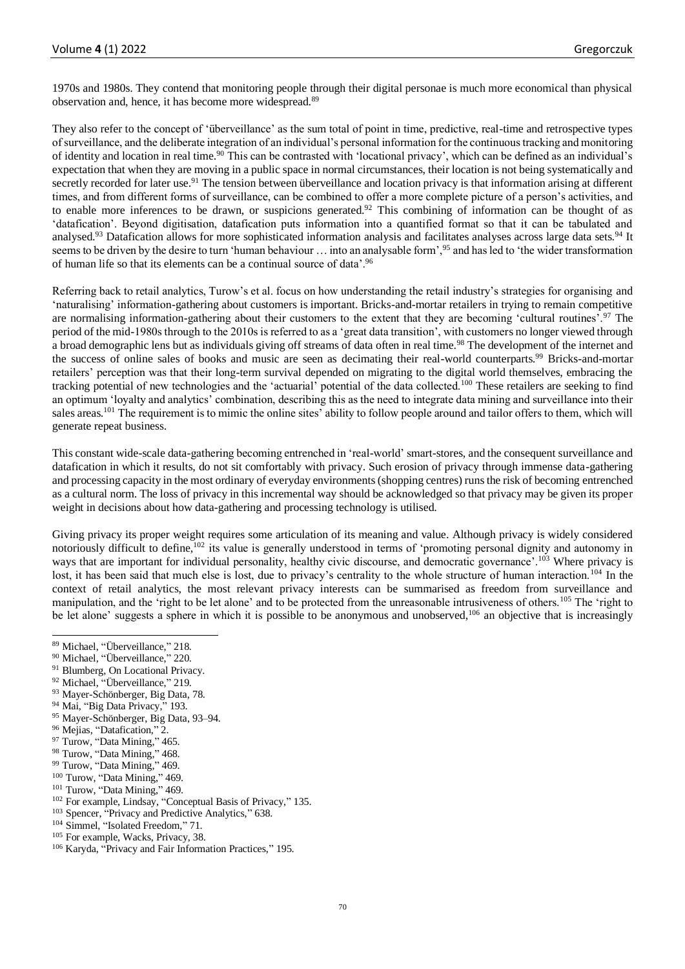1970s and 1980s. They contend that monitoring people through their digital personae is much more economical than physical observation and, hence, it has become more widespread.<sup>89</sup>

They also refer to the concept of 'überveillance' as the sum total of point in time, predictive, real-time and retrospective types of surveillance, and the deliberate integration of an individual's personal information for the continuous tracking and monitoring of identity and location in real time.<sup>90</sup> This can be contrasted with 'locational privacy', which can be defined as an individual's expectation that when they are moving in a public space in normal circumstances, their location is not being systematically and secretly recorded for later use.<sup>91</sup> The tension between überveillance and location privacy is that information arising at different times, and from different forms of surveillance, can be combined to offer a more complete picture of a person's activities, and to enable more inferences to be drawn, or suspicions generated.<sup>92</sup> This combining of information can be thought of as 'datafication'. Beyond digitisation, datafication puts information into a quantified format so that it can be tabulated and analysed.<sup>93</sup> Datafication allows for more sophisticated information analysis and facilitates analyses across large data sets.<sup>94</sup> It seems to be driven by the desire to turn 'human behaviour … into an analysable form',<sup>95</sup> and has led to 'the wider transformation of human life so that its elements can be a continual source of data'.<sup>96</sup>

Referring back to retail analytics, Turow's et al. focus on how understanding the retail industry's strategies for organising and 'naturalising' information-gathering about customers is important. Bricks-and-mortar retailers in trying to remain competitive are normalising information-gathering about their customers to the extent that they are becoming 'cultural routines'.<sup>97</sup> The period of the mid-1980s through to the 2010s is referred to as a 'great data transition', with customers no longer viewed through a broad demographic lens but as individuals giving off streams of data often in real time.<sup>98</sup> The development of the internet and the success of online sales of books and music are seen as decimating their real-world counterparts.<sup>99</sup> Bricks-and-mortar retailers' perception was that their long-term survival depended on migrating to the digital world themselves, embracing the tracking potential of new technologies and the 'actuarial' potential of the data collected.<sup>100</sup> These retailers are seeking to find an optimum 'loyalty and analytics' combination, describing this as the need to integrate data mining and surveillance into their sales areas.<sup>101</sup> The requirement is to mimic the online sites' ability to follow people around and tailor offers to them, which will generate repeat business.

This constant wide-scale data-gathering becoming entrenched in 'real-world' smart-stores, and the consequent surveillance and datafication in which it results, do not sit comfortably with privacy. Such erosion of privacy through immense data-gathering and processing capacity in the most ordinary of everyday environments (shopping centres) runs the risk of becoming entrenched as a cultural norm. The loss of privacy in this incremental way should be acknowledged so that privacy may be given its proper weight in decisions about how data-gathering and processing technology is utilised.

Giving privacy its proper weight requires some articulation of its meaning and value. Although privacy is widely considered notoriously difficult to define,<sup>102</sup> its value is generally understood in terms of 'promoting personal dignity and autonomy in ways that are important for individual personality, healthy civic discourse, and democratic governance'.<sup>103</sup> Where privacy is lost, it has been said that much else is lost, due to privacy's centrality to the whole structure of human interaction.<sup>104</sup> In the context of retail analytics, the most relevant privacy interests can be summarised as freedom from surveillance and manipulation, and the 'right to be let alone' and to be protected from the unreasonable intrusiveness of others.<sup>105</sup> The 'right to be let alone' suggests a sphere in which it is possible to be anonymous and unobserved,<sup>106</sup> an objective that is increasingly

- <sup>91</sup> Blumberg, On Locational Privacy.
- <sup>92</sup> Michael, "Überveillance," 219.
- 93 Mayer-Schönberger, Big Data, 78.
- <sup>94</sup> Mai, "Big Data Privacy," 193.
- <sup>95</sup> Mayer-Schönberger, Big Data, 93–94.
- <sup>96</sup> Mejias, "Datafication," 2.
- <sup>97</sup> Turow, "Data Mining," 465.
- <sup>98</sup> Turow, "Data Mining," 468.
- <sup>99</sup> Turow, "Data Mining," 469.

<sup>101</sup> Turow, "Data Mining," 469.

- <sup>103</sup> Spencer, "Privacy and Predictive Analytics," 638.
- <sup>104</sup> Simmel, "Isolated Freedom," 71.
- <sup>105</sup> For example, Wacks, Privacy, 38.

<sup>89</sup> Michael, "Überveillance," 218.

<sup>90</sup> Michael, "Überveillance," 220.

<sup>&</sup>lt;sup>100</sup> Turow, "Data Mining," 469.

<sup>102</sup> For example, Lindsay, "Conceptual Basis of Privacy," 135.

<sup>106</sup> Karyda, "Privacy and Fair Information Practices," 195.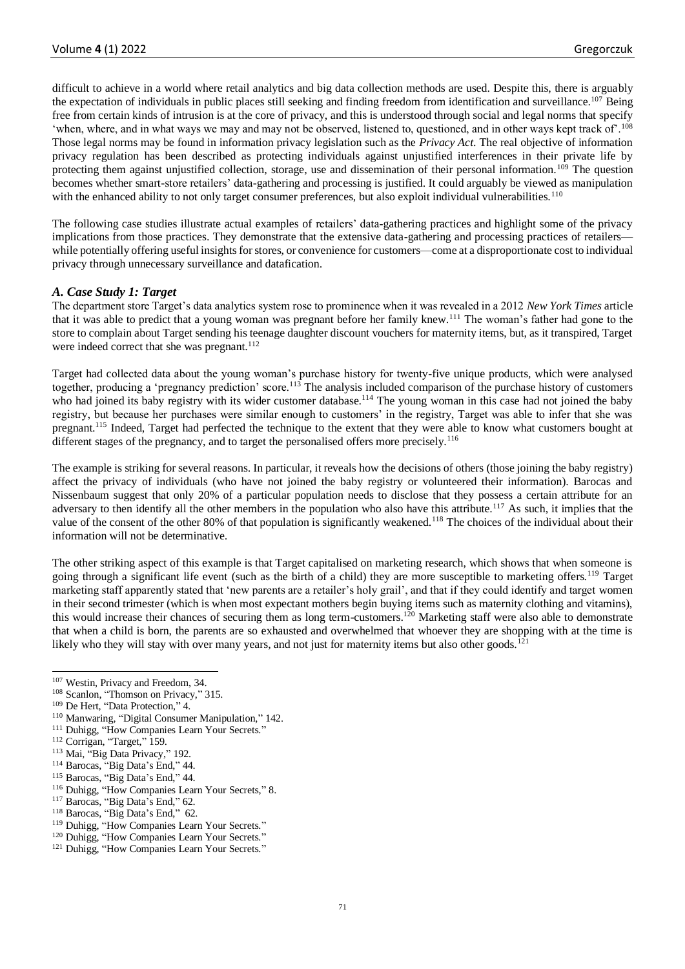difficult to achieve in a world where retail analytics and big data collection methods are used. Despite this, there is arguably the expectation of individuals in public places still seeking and finding freedom from identification and surveillance.<sup>107</sup> Being free from certain kinds of intrusion is at the core of privacy, and this is understood through social and legal norms that specify 'when, where, and in what ways we may and may not be observed, listened to, questioned, and in other ways kept track of'.<sup>108</sup> Those legal norms may be found in information privacy legislation such as the *Privacy Act*. The real objective of information privacy regulation has been described as protecting individuals against unjustified interferences in their private life by protecting them against unjustified collection, storage, use and dissemination of their personal information.<sup>109</sup> The question becomes whether smart-store retailers' data-gathering and processing is justified. It could arguably be viewed as manipulation with the enhanced ability to not only target consumer preferences, but also exploit individual vulnerabilities.<sup>110</sup>

The following case studies illustrate actual examples of retailers' data-gathering practices and highlight some of the privacy implications from those practices. They demonstrate that the extensive data-gathering and processing practices of retailers while potentially offering useful insights for stores, or convenience for customers—come at a disproportionate cost to individual privacy through unnecessary surveillance and datafication.

## *A. Case Study 1: Target*

The department store Target's data analytics system rose to prominence when it was revealed in a 2012 *New York Times* article that it was able to predict that a young woman was pregnant before her family knew.<sup>111</sup> The woman's father had gone to the store to complain about Target sending his teenage daughter discount vouchers for maternity items, but, as it transpired, Target were indeed correct that she was pregnant.<sup>112</sup>

Target had collected data about the young woman's purchase history for twenty-five unique products, which were analysed together, producing a 'pregnancy prediction' score.<sup>113</sup> The analysis included comparison of the purchase history of customers who had joined its baby registry with its wider customer database.<sup>114</sup> The young woman in this case had not joined the baby registry, but because her purchases were similar enough to customers' in the registry, Target was able to infer that she was pregnant.<sup>115</sup> Indeed, Target had perfected the technique to the extent that they were able to know what customers bought at different stages of the pregnancy, and to target the personalised offers more precisely.<sup>116</sup>

The example is striking for several reasons. In particular, it reveals how the decisions of others (those joining the baby registry) affect the privacy of individuals (who have not joined the baby registry or volunteered their information). Barocas and Nissenbaum suggest that only 20% of a particular population needs to disclose that they possess a certain attribute for an adversary to then identify all the other members in the population who also have this attribute.<sup>117</sup> As such, it implies that the value of the consent of the other 80% of that population is significantly weakened.<sup>118</sup> The choices of the individual about their information will not be determinative.

The other striking aspect of this example is that Target capitalised on marketing research, which shows that when someone is going through a significant life event (such as the birth of a child) they are more susceptible to marketing offers.<sup>119</sup> Target marketing staff apparently stated that 'new parents are a retailer's holy grail', and that if they could identify and target women in their second trimester (which is when most expectant mothers begin buying items such as maternity clothing and vitamins), this would increase their chances of securing them as long term-customers.<sup>120</sup> Marketing staff were also able to demonstrate that when a child is born, the parents are so exhausted and overwhelmed that whoever they are shopping with at the time is likely who they will stay with over many years, and not just for maternity items but also other goods.<sup>121</sup>

- <sup>116</sup> Duhigg, "How Companies Learn Your Secrets," 8.
- <sup>117</sup> Barocas, "Big Data's End," 62.

<sup>107</sup> Westin, Privacy and Freedom, 34.

<sup>&</sup>lt;sup>108</sup> Scanlon, "Thomson on Privacy," 315.

<sup>109</sup> De Hert, "Data Protection," 4.

<sup>110</sup> Manwaring, "Digital Consumer Manipulation," 142.

<sup>&</sup>lt;sup>111</sup> Duhigg, "How Companies Learn Your Secrets."

<sup>&</sup>lt;sup>112</sup> Corrigan, "Target," 159.

<sup>113</sup> Mai, "Big Data Privacy," 192.

<sup>114</sup> Barocas, "Big Data's End," 44.

<sup>115</sup> Barocas, "Big Data's End," 44.

<sup>118</sup> Barocas, "Big Data's End," 62.

<sup>&</sup>lt;sup>119</sup> Duhigg, "How Companies Learn Your Secrets."

<sup>&</sup>lt;sup>120</sup> Duhigg, "How Companies Learn Your Secrets."

<sup>&</sup>lt;sup>121</sup> Duhigg, "How Companies Learn Your Secrets."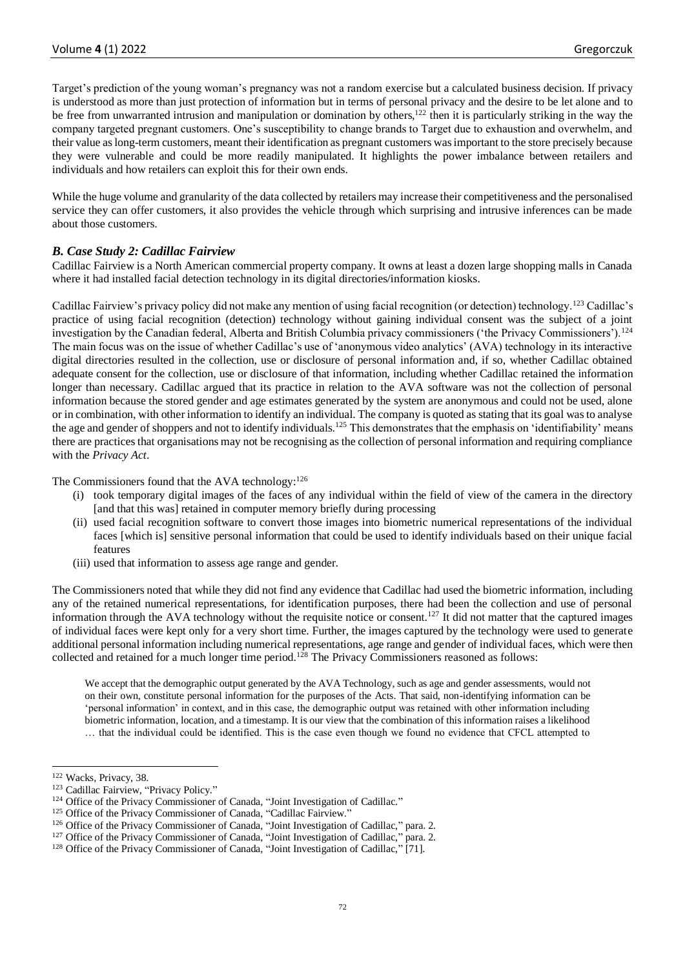Target's prediction of the young woman's pregnancy was not a random exercise but a calculated business decision. If privacy is understood as more than just protection of information but in terms of personal privacy and the desire to be let alone and to be free from unwarranted intrusion and manipulation or domination by others,<sup>122</sup> then it is particularly striking in the way the company targeted pregnant customers. One's susceptibility to change brands to Target due to exhaustion and overwhelm, and their value as long-term customers, meant their identification as pregnant customers was important to the store precisely because they were vulnerable and could be more readily manipulated. It highlights the power imbalance between retailers and individuals and how retailers can exploit this for their own ends.

While the huge volume and granularity of the data collected by retailers may increase their competitiveness and the personalised service they can offer customers, it also provides the vehicle through which surprising and intrusive inferences can be made about those customers.

## *B. Case Study 2: Cadillac Fairview*

Cadillac Fairview is a North American commercial property company. It owns at least a dozen large shopping malls in Canada where it had installed facial detection technology in its digital directories/information kiosks.

Cadillac Fairview's privacy policy did not make any mention of using facial recognition (or detection) technology.<sup>123</sup> Cadillac's practice of using facial recognition (detection) technology without gaining individual consent was the subject of a joint investigation by the Canadian federal, Alberta and British Columbia privacy commissioners ('the Privacy Commissioners').<sup>124</sup> The main focus was on the issue of whether Cadillac's use of 'anonymous video analytics' (AVA) technology in its interactive digital directories resulted in the collection, use or disclosure of personal information and, if so, whether Cadillac obtained adequate consent for the collection, use or disclosure of that information, including whether Cadillac retained the information longer than necessary. Cadillac argued that its practice in relation to the AVA software was not the collection of personal information because the stored gender and age estimates generated by the system are anonymous and could not be used, alone or in combination, with other information to identify an individual. The company is quoted as stating that its goal was to analyse the age and gender of shoppers and not to identify individuals.<sup>125</sup> This demonstrates that the emphasis on 'identifiability' means there are practices that organisations may not be recognising as the collection of personal information and requiring compliance with the *Privacy Act*.

The Commissioners found that the AVA technology: $126$ 

- (i) took temporary digital images of the faces of any individual within the field of view of the camera in the directory [and that this was] retained in computer memory briefly during processing
- (ii) used facial recognition software to convert those images into biometric numerical representations of the individual faces [which is] sensitive personal information that could be used to identify individuals based on their unique facial features
- (iii) used that information to assess age range and gender.

The Commissioners noted that while they did not find any evidence that Cadillac had used the biometric information, including any of the retained numerical representations, for identification purposes, there had been the collection and use of personal information through the AVA technology without the requisite notice or consent.<sup>127</sup> It did not matter that the captured images of individual faces were kept only for a very short time. Further, the images captured by the technology were used to generate additional personal information including numerical representations, age range and gender of individual faces, which were then collected and retained for a much longer time period.<sup>128</sup> The Privacy Commissioners reasoned as follows:

We accept that the demographic output generated by the AVA Technology, such as age and gender assessments, would not on their own, constitute personal information for the purposes of the Acts. That said, non-identifying information can be 'personal information' in context, and in this case, the demographic output was retained with other information including biometric information, location, and a timestamp. It is our view that the combination of this information raises a likelihood … that the individual could be identified. This is the case even though we found no evidence that CFCL attempted to

<sup>122</sup> Wacks, Privacy, 38.

<sup>123</sup> Cadillac Fairview, "Privacy Policy."

<sup>&</sup>lt;sup>124</sup> Office of the Privacy Commissioner of Canada, "Joint Investigation of Cadillac."

<sup>&</sup>lt;sup>125</sup> Office of the Privacy Commissioner of Canada, "Cadillac Fairview."

<sup>&</sup>lt;sup>126</sup> Office of the Privacy Commissioner of Canada, "Joint Investigation of Cadillac," para. 2.

<sup>&</sup>lt;sup>127</sup> Office of the Privacy Commissioner of Canada, "Joint Investigation of Cadillac," para. 2.

<sup>&</sup>lt;sup>128</sup> Office of the Privacy Commissioner of Canada, "Joint Investigation of Cadillac," [71].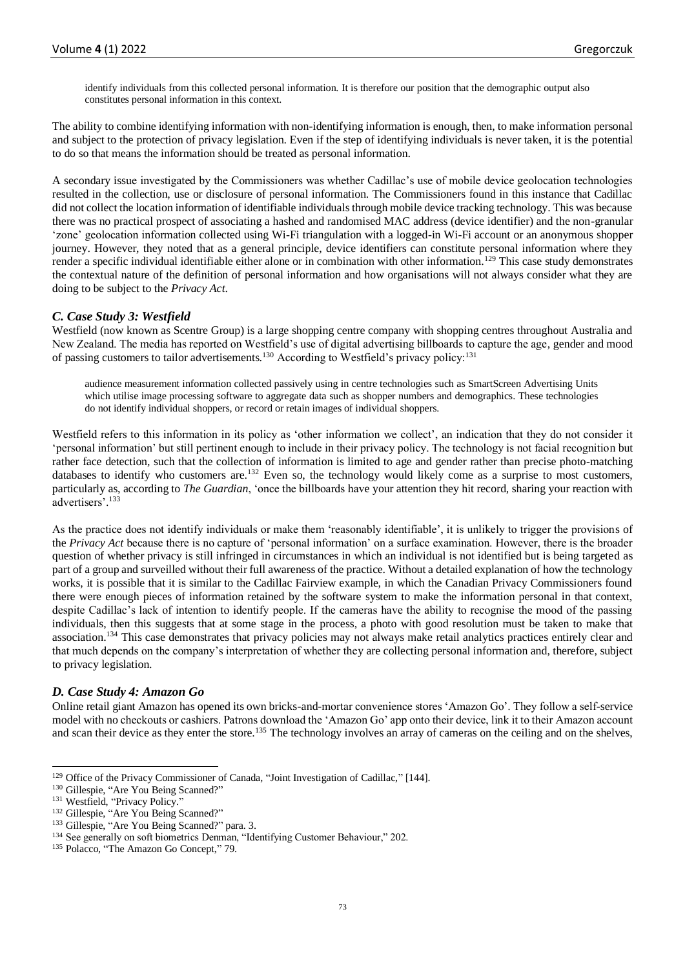identify individuals from this collected personal information. It is therefore our position that the demographic output also constitutes personal information in this context.

The ability to combine identifying information with non-identifying information is enough, then, to make information personal and subject to the protection of privacy legislation. Even if the step of identifying individuals is never taken, it is the potential to do so that means the information should be treated as personal information.

A secondary issue investigated by the Commissioners was whether Cadillac's use of mobile device geolocation technologies resulted in the collection, use or disclosure of personal information. The Commissioners found in this instance that Cadillac did not collect the location information of identifiable individuals through mobile device tracking technology. This was because there was no practical prospect of associating a hashed and randomised MAC address (device identifier) and the non-granular 'zone' geolocation information collected using Wi-Fi triangulation with a logged-in Wi-Fi account or an anonymous shopper journey. However, they noted that as a general principle, device identifiers can constitute personal information where they render a specific individual identifiable either alone or in combination with other information.<sup>129</sup> This case study demonstrates the contextual nature of the definition of personal information and how organisations will not always consider what they are doing to be subject to the *Privacy Act*.

## *C. Case Study 3: Westfield*

Westfield (now known as Scentre Group) is a large shopping centre company with shopping centres throughout Australia and New Zealand. The media has reported on Westfield's use of digital advertising billboards to capture the age, gender and mood of passing customers to tailor advertisements.<sup>130</sup> According to Westfield's privacy policy:<sup>131</sup>

audience measurement information collected passively using in centre technologies such as SmartScreen Advertising Units which utilise image processing software to aggregate data such as shopper numbers and demographics. These technologies do not identify individual shoppers, or record or retain images of individual shoppers.

Westfield refers to this information in its policy as 'other information we collect', an indication that they do not consider it 'personal information' but still pertinent enough to include in their privacy policy. The technology is not facial recognition but rather face detection, such that the collection of information is limited to age and gender rather than precise photo-matching databases to identify who customers are.<sup>132</sup> Even so, the technology would likely come as a surprise to most customers, particularly as, according to *The Guardian*, 'once the billboards have your attention they hit record, sharing your reaction with advertisers'.<sup>133</sup>

As the practice does not identify individuals or make them 'reasonably identifiable', it is unlikely to trigger the provisions of the *Privacy Act* because there is no capture of 'personal information' on a surface examination. However, there is the broader question of whether privacy is still infringed in circumstances in which an individual is not identified but is being targeted as part of a group and surveilled without their full awareness of the practice. Without a detailed explanation of how the technology works, it is possible that it is similar to the Cadillac Fairview example, in which the Canadian Privacy Commissioners found there were enough pieces of information retained by the software system to make the information personal in that context, despite Cadillac's lack of intention to identify people. If the cameras have the ability to recognise the mood of the passing individuals, then this suggests that at some stage in the process, a photo with good resolution must be taken to make that association.<sup>134</sup> This case demonstrates that privacy policies may not always make retail analytics practices entirely clear and that much depends on the company's interpretation of whether they are collecting personal information and, therefore, subject to privacy legislation.

#### *D. Case Study 4: Amazon Go*

Online retail giant Amazon has opened its own bricks-and-mortar convenience stores 'Amazon Go'. They follow a self-service model with no checkouts or cashiers. Patrons download the 'Amazon Go' app onto their device, link it to their Amazon account and scan their device as they enter the store.<sup>135</sup> The technology involves an array of cameras on the ceiling and on the shelves,

<sup>&</sup>lt;sup>129</sup> Office of the Privacy Commissioner of Canada, "Joint Investigation of Cadillac," [144].

<sup>130</sup> Gillespie, "Are You Being Scanned?"

<sup>&</sup>lt;sup>131</sup> Westfield, "Privacy Policy."

<sup>&</sup>lt;sup>132</sup> Gillespie, "Are You Being Scanned?"

<sup>133</sup> Gillespie, "Are You Being Scanned?" para. 3.

<sup>&</sup>lt;sup>134</sup> See generally on soft biometrics Denman, "Identifying Customer Behaviour," 202.

<sup>135</sup> Polacco, "The Amazon Go Concept," 79.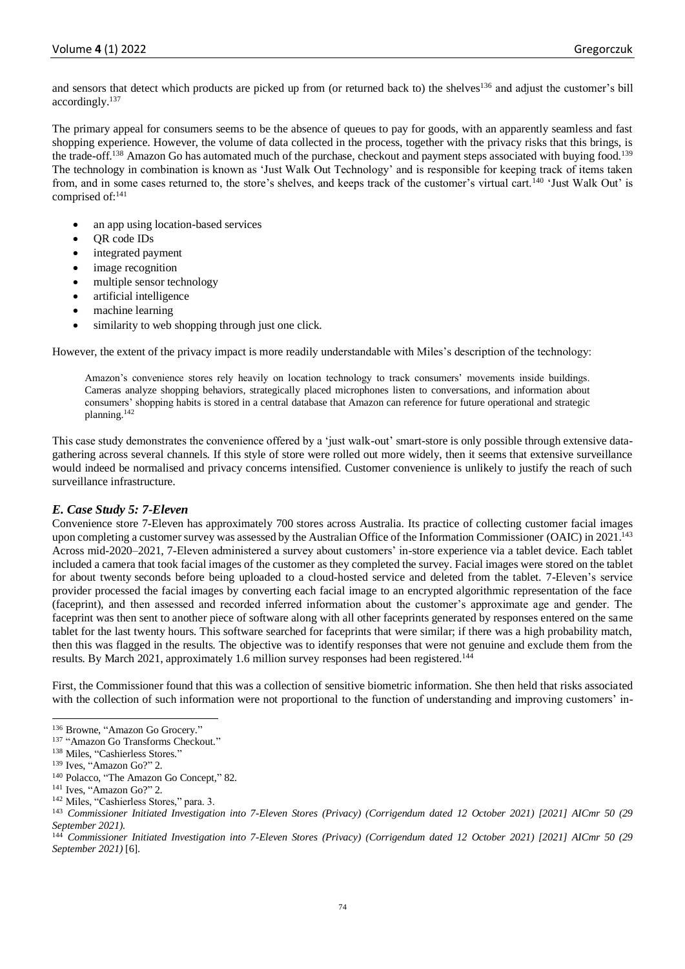and sensors that detect which products are picked up from (or returned back to) the shelves<sup>136</sup> and adjust the customer's bill accordingly.<sup>137</sup>

The primary appeal for consumers seems to be the absence of queues to pay for goods, with an apparently seamless and fast shopping experience. However, the volume of data collected in the process, together with the privacy risks that this brings, is the trade-off.<sup>138</sup> Amazon Go has automated much of the purchase, checkout and payment steps associated with buying food.<sup>139</sup> The technology in combination is known as 'Just Walk Out Technology' and is responsible for keeping track of items taken from, and in some cases returned to, the store's shelves, and keeps track of the customer's virtual cart.<sup>140</sup> 'Just Walk Out' is comprised of:<sup>141</sup>

- an app using location-based services
- QR code IDs
- integrated payment
- image recognition
- multiple sensor technology
- artificial intelligence
- machine learning
- similarity to web shopping through just one click.

However, the extent of the privacy impact is more readily understandable with Miles's description of the technology:

Amazon's convenience stores rely heavily on location technology to track consumers' movements inside buildings. Cameras analyze shopping behaviors, strategically placed microphones listen to conversations, and information about consumers' shopping habits is stored in a central database that Amazon can reference for future operational and strategic planning.<sup>142</sup>

This case study demonstrates the convenience offered by a 'just walk-out' smart-store is only possible through extensive datagathering across several channels. If this style of store were rolled out more widely, then it seems that extensive surveillance would indeed be normalised and privacy concerns intensified. Customer convenience is unlikely to justify the reach of such surveillance infrastructure.

# *E. Case Study 5: 7-Eleven*

Convenience store 7-Eleven has approximately 700 stores across Australia. Its practice of collecting customer facial images upon completing a customer survey was assessed by the Australian Office of the Information Commissioner (OAIC) in 2021.<sup>143</sup> Across mid-2020–2021, 7-Eleven administered a survey about customers' in-store experience via a tablet device. Each tablet included a camera that took facial images of the customer as they completed the survey. Facial images were stored on the tablet for about twenty seconds before being uploaded to a cloud-hosted service and deleted from the tablet. 7-Eleven's service provider processed the facial images by converting each facial image to an encrypted algorithmic representation of the face (faceprint), and then assessed and recorded inferred information about the customer's approximate age and gender. The faceprint was then sent to another piece of software along with all other faceprints generated by responses entered on the same tablet for the last twenty hours. This software searched for faceprints that were similar; if there was a high probability match, then this was flagged in the results. The objective was to identify responses that were not genuine and exclude them from the results. By March 2021, approximately 1.6 million survey responses had been registered.<sup>144</sup>

First, the Commissioner found that this was a collection of sensitive biometric information. She then held that risks associated with the collection of such information were not proportional to the function of understanding and improving customers' in-

<sup>136</sup> Browne, "Amazon Go Grocery."

<sup>&</sup>lt;sup>137</sup> "Amazon Go Transforms Checkout."

<sup>138</sup> Miles, "Cashierless Stores."

<sup>139</sup> Ives, "Amazon Go?" 2.

<sup>140</sup> Polacco, "The Amazon Go Concept," 82.

<sup>&</sup>lt;sup>141</sup> Ives, "Amazon Go?" 2.

<sup>142</sup> Miles, "Cashierless Stores," para. 3.

<sup>143</sup> *Commissioner Initiated Investigation into 7-Eleven Stores (Privacy) (Corrigendum dated 12 October 2021) [2021] AICmr 50 (29 September 2021)*.

<sup>144</sup> *Commissioner Initiated Investigation into 7-Eleven Stores (Privacy) (Corrigendum dated 12 October 2021) [2021] AICmr 50 (29 September 2021)* [6].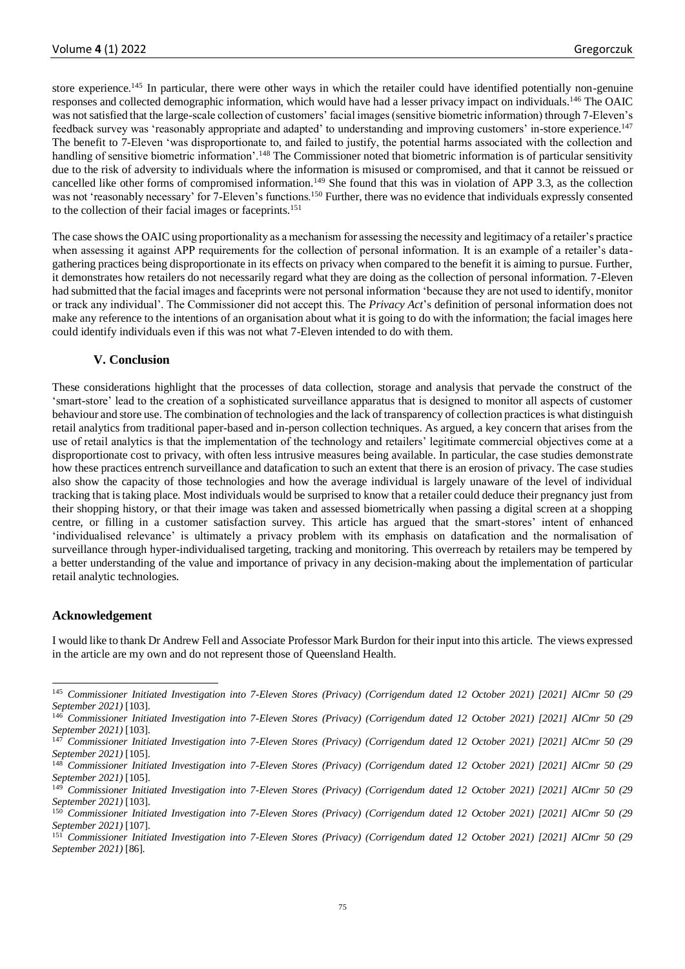store experience.<sup>145</sup> In particular, there were other ways in which the retailer could have identified potentially non-genuine responses and collected demographic information, which would have had a lesser privacy impact on individuals.<sup>146</sup> The OAIC was not satisfied that the large-scale collection of customers' facial images (sensitive biometric information) through 7-Eleven's feedback survey was 'reasonably appropriate and adapted' to understanding and improving customers' in-store experience.<sup>147</sup> The benefit to 7-Eleven 'was disproportionate to, and failed to justify, the potential harms associated with the collection and handling of sensitive biometric information'.<sup>148</sup> The Commissioner noted that biometric information is of particular sensitivity due to the risk of adversity to individuals where the information is misused or compromised, and that it cannot be reissued or cancelled like other forms of compromised information.<sup>149</sup> She found that this was in violation of APP 3.3, as the collection was not 'reasonably necessary' for 7-Eleven's functions.<sup>150</sup> Further, there was no evidence that individuals expressly consented to the collection of their facial images or faceprints.<sup>151</sup>

The case shows the OAIC using proportionality as a mechanism for assessing the necessity and legitimacy of a retailer's practice when assessing it against APP requirements for the collection of personal information. It is an example of a retailer's datagathering practices being disproportionate in its effects on privacy when compared to the benefit it is aiming to pursue. Further, it demonstrates how retailers do not necessarily regard what they are doing as the collection of personal information. 7-Eleven had submitted that the facial images and faceprints were not personal information 'because they are not used to identify, monitor or track any individual'. The Commissioner did not accept this. The *Privacy Act*'s definition of personal information does not make any reference to the intentions of an organisation about what it is going to do with the information; the facial images here could identify individuals even if this was not what 7-Eleven intended to do with them.

#### **V. Conclusion**

These considerations highlight that the processes of data collection, storage and analysis that pervade the construct of the 'smart-store' lead to the creation of a sophisticated surveillance apparatus that is designed to monitor all aspects of customer behaviour and store use. The combination of technologies and the lack of transparency of collection practices is what distinguish retail analytics from traditional paper-based and in-person collection techniques. As argued, a key concern that arises from the use of retail analytics is that the implementation of the technology and retailers' legitimate commercial objectives come at a disproportionate cost to privacy, with often less intrusive measures being available. In particular, the case studies demonstrate how these practices entrench surveillance and datafication to such an extent that there is an erosion of privacy. The case studies also show the capacity of those technologies and how the average individual is largely unaware of the level of individual tracking that is taking place. Most individuals would be surprised to know that a retailer could deduce their pregnancy just from their shopping history, or that their image was taken and assessed biometrically when passing a digital screen at a shopping centre, or filling in a customer satisfaction survey. This article has argued that the smart-stores' intent of enhanced 'individualised relevance' is ultimately a privacy problem with its emphasis on datafication and the normalisation of surveillance through hyper-individualised targeting, tracking and monitoring. This overreach by retailers may be tempered by a better understanding of the value and importance of privacy in any decision-making about the implementation of particular retail analytic technologies.

#### **Acknowledgement**

I would like to thank Dr Andrew Fell and Associate Professor Mark Burdon for their input into this article. The views expressed in the article are my own and do not represent those of Queensland Health.

<sup>145</sup> *Commissioner Initiated Investigation into 7-Eleven Stores (Privacy) (Corrigendum dated 12 October 2021) [2021] AICmr 50 (29 September 2021)* [103].

<sup>146</sup> *Commissioner Initiated Investigation into 7-Eleven Stores (Privacy) (Corrigendum dated 12 October 2021) [2021] AICmr 50 (29 September 2021)* [103].

<sup>147</sup> *Commissioner Initiated Investigation into 7-Eleven Stores (Privacy) (Corrigendum dated 12 October 2021) [2021] AICmr 50 (29 September 2021)* [105].

<sup>148</sup> *Commissioner Initiated Investigation into 7-Eleven Stores (Privacy) (Corrigendum dated 12 October 2021) [2021] AICmr 50 (29 September 2021)* [105].

<sup>149</sup> *Commissioner Initiated Investigation into 7-Eleven Stores (Privacy) (Corrigendum dated 12 October 2021) [2021] AICmr 50 (29 September 2021)* [103].

<sup>150</sup> *Commissioner Initiated Investigation into 7-Eleven Stores (Privacy) (Corrigendum dated 12 October 2021) [2021] AICmr 50 (29 September 2021)* [107].

<sup>151</sup> *Commissioner Initiated Investigation into 7-Eleven Stores (Privacy) (Corrigendum dated 12 October 2021) [2021] AICmr 50 (29 September 2021)* [86].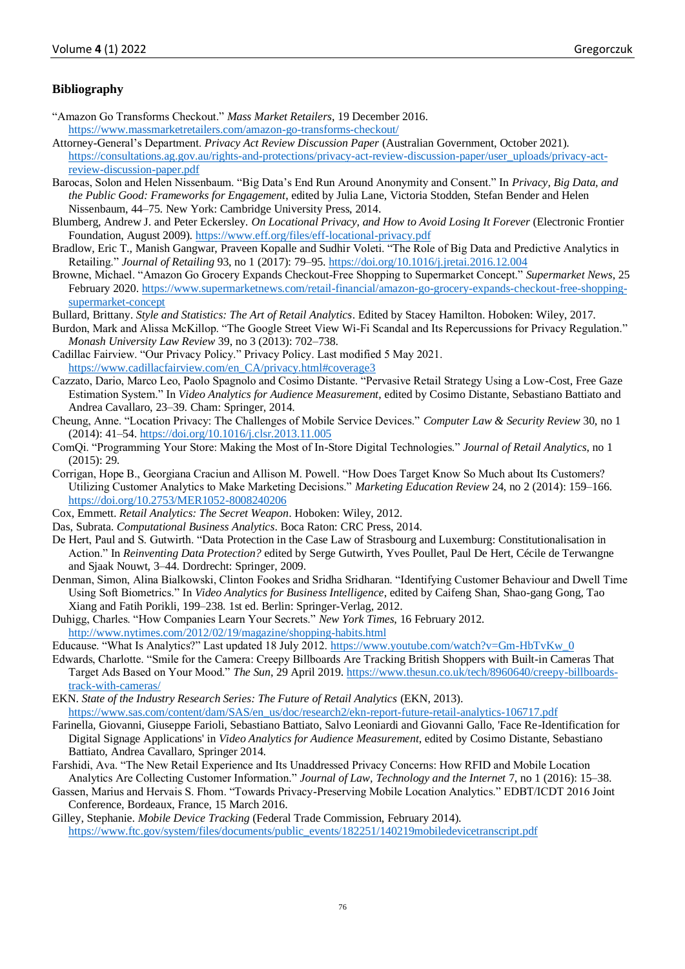#### **Bibliography**

- "Amazon Go Transforms Checkout." *Mass Market Retailers*, 19 December 2016. <https://www.massmarketretailers.com/amazon-go-transforms-checkout/>
- Attorney-General's Department. *Privacy Act Review Discussion Paper* (Australian Government, October 2021). [https://consultations.ag.gov.au/rights-and-protections/privacy-act-review-discussion-paper/user\\_uploads/privacy-act](https://consultations.ag.gov.au/rights-and-protections/privacy-act-review-discussion-paper/user_uploads/privacy-act-review-discussion-paper.pdf)[review-discussion-paper.pdf](https://consultations.ag.gov.au/rights-and-protections/privacy-act-review-discussion-paper/user_uploads/privacy-act-review-discussion-paper.pdf)
- Barocas, Solon and Helen Nissenbaum. "Big Data's End Run Around Anonymity and Consent." In *Privacy, Big Data, and the Public Good: Frameworks for Engagement*, edited by Julia Lane, Victoria Stodden, Stefan Bender and Helen Nissenbaum, 44–75. New York: Cambridge University Press, 2014.
- Blumberg, Andrew J. and Peter Eckersley. *On Locational Privacy, and How to Avoid Losing It Forever* (Electronic Frontier Foundation, August 2009).<https://www.eff.org/files/eff-locational-privacy.pdf>
- Bradlow, Eric T., Manish Gangwar, Praveen Kopalle and Sudhir Voleti. "The Role of Big Data and Predictive Analytics in Retailing." *Journal of Retailing* 93, no 1 (2017): 79–95[. https://doi.org/10.1016/j.jretai.2016.12.004](https://doi.org/10.1016/j.jretai.2016.12.004)
- Browne, Michael. "Amazon Go Grocery Expands Checkout-Free Shopping to Supermarket Concept." *Supermarket News*, 25 February 2020. [https://www.supermarketnews.com/retail-financial/amazon-go-grocery-expands-checkout-free-shopping](https://www.supermarketnews.com/retail-financial/amazon-go-grocery-expands-checkout-free-shopping-supermarket-concept)[supermarket-concept](https://www.supermarketnews.com/retail-financial/amazon-go-grocery-expands-checkout-free-shopping-supermarket-concept)
- Bullard, Brittany. *Style and Statistics: The Art of Retail Analytics*. Edited by Stacey Hamilton. Hoboken: Wiley, 2017.
- Burdon, Mark and Alissa McKillop. "The Google Street View Wi-Fi Scandal and Its Repercussions for Privacy Regulation." *Monash University Law Review* 39, no 3 (2013): 702–738.
- Cadillac Fairview. "Our Privacy Policy." Privacy Policy. Last modified 5 May 2021. [https://www.cadillacfairview.com/en\\_CA/privacy.html#coverage3](https://www.cadillacfairview.com/en_CA/privacy.html#coverage3)
- Cazzato, Dario, Marco Leo, Paolo Spagnolo and Cosimo Distante. "Pervasive Retail Strategy Using a Low-Cost, Free Gaze Estimation System." In *Video Analytics for Audience Measurement*, edited by Cosimo Distante, Sebastiano Battiato and Andrea Cavallaro, 23–39. Cham: Springer, 2014.
- Cheung, Anne. "Location Privacy: The Challenges of Mobile Service Devices." *Computer Law & Security Review* 30, no 1 (2014): 41–54[. https://doi.org/10.1016/j.clsr.2013.11.005](https://doi.org/10.1016/j.clsr.2013.11.005)
- ComQi. "Programming Your Store: Making the Most of In-Store Digital Technologies." *Journal of Retail Analytics*, no 1 (2015): 29.
- Corrigan, Hope B., Georgiana Craciun and Allison M. Powell. "How Does Target Know So Much about Its Customers? Utilizing Customer Analytics to Make Marketing Decisions." *Marketing Education Review* 24, no 2 (2014): 159–166. <https://doi.org/10.2753/MER1052-8008240206>
- Cox, Emmett. *Retail Analytics: The Secret Weapon*. Hoboken: Wiley, 2012.
- Das, Subrata. *Computational Business Analytics*. Boca Raton: CRC Press, 2014.
- De Hert, Paul and S. Gutwirth. "Data Protection in the Case Law of Strasbourg and Luxemburg: Constitutionalisation in Action." In *Reinventing Data Protection?* edited by Serge Gutwirth, Yves Poullet, Paul De Hert, Cécile de Terwangne and Sjaak Nouwt, 3–44. Dordrecht: Springer, 2009.
- Denman, Simon, Alina Bialkowski, Clinton Fookes and Sridha Sridharan. "Identifying Customer Behaviour and Dwell Time Using Soft Biometrics." In *Video Analytics for Business Intelligence*, edited by Caifeng Shan, Shao-gang Gong, Tao Xiang and Fatih Porikli, 199–238. 1st ed. Berlin: Springer-Verlag, 2012.
- Duhigg, Charles. "How Companies Learn Your Secrets." *New York Times*, 16 February 2012. <http://www.nytimes.com/2012/02/19/magazine/shopping-habits.html>
- Educause. "What Is Analytics?" Last updated 18 July 2012. [https://www.youtube.com/watch?v=Gm-HbTvKw\\_0](https://www.youtube.com/watch?v=Gm-HbTvKw_0)
- Edwards, Charlotte. "Smile for the Camera: Creepy Billboards Are Tracking British Shoppers with Built-in Cameras That Target Ads Based on Your Mood." *The Sun*, 29 April 2019. [https://www.thesun.co.uk/tech/8960640/creepy-billboards](https://www.thesun.co.uk/tech/8960640/creepy-billboards-track-with-cameras/)[track-with-cameras/](https://www.thesun.co.uk/tech/8960640/creepy-billboards-track-with-cameras/)
- EKN. *State of the Industry Research Series: The Future of Retail Analytics* (EKN, 2013). [https://www.sas.com/content/dam/SAS/en\\_us/doc/research2/ekn-report-future-retail-analytics-106717.pdf](https://www.sas.com/content/dam/SAS/en_us/doc/research2/ekn-report-future-retail-analytics-106717.pdf)
- Farinella, Giovanni, Giuseppe Farioli, Sebastiano Battiato, Salvo Leoniardi and Giovanni Gallo, 'Face Re-Identification for Digital Signage Applications' in *Video Analytics for Audience Measurement*, edited by Cosimo Distante, Sebastiano Battiato, Andrea Cavallaro, Springer 2014.
- Farshidi, Ava. "The New Retail Experience and Its Unaddressed Privacy Concerns: How RFID and Mobile Location Analytics Are Collecting Customer Information." *Journal of Law, Technology and the Internet* 7, no 1 (2016): 15–38.
- Gassen, Marius and Hervais S. Fhom. "Towards Privacy-Preserving Mobile Location Analytics." EDBT/ICDT 2016 Joint Conference, Bordeaux, France, 15 March 2016.
- Gilley, Stephanie. *Mobile Device Tracking* (Federal Trade Commission, February 2014). [https://www.ftc.gov/system/files/documents/public\\_events/182251/140219mobiledevicetranscript.pdf](https://www.ftc.gov/system/files/documents/public_events/182251/140219mobiledevicetranscript.pdf)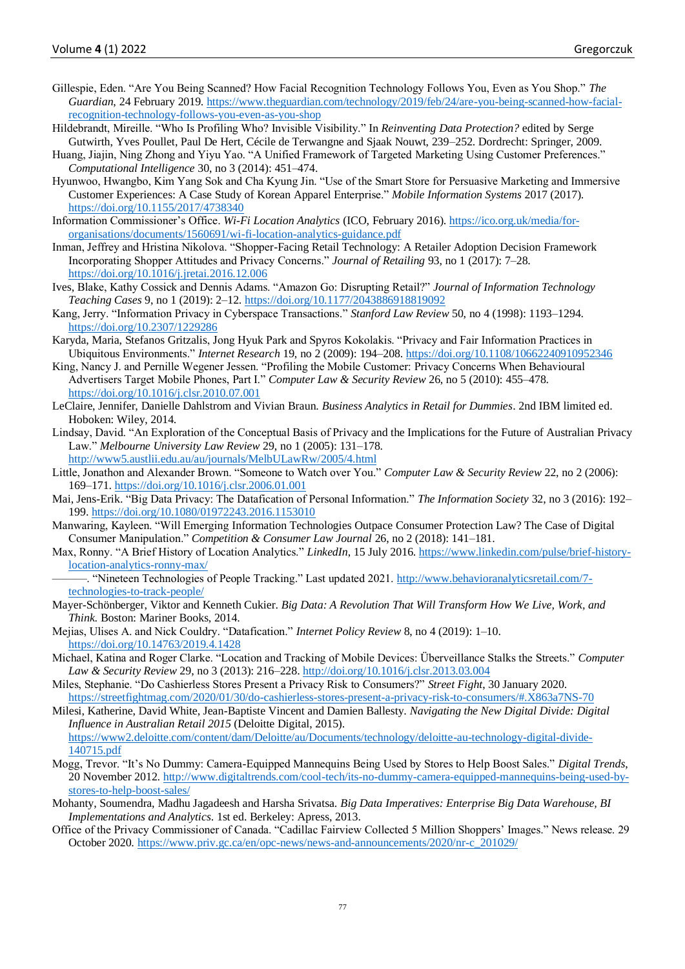- Gillespie, Eden. "Are You Being Scanned? How Facial Recognition Technology Follows You, Even as You Shop." *The Guardian*, 24 February 2019[. https://www.theguardian.com/technology/2019/feb/24/are-you-being-scanned-how-facial](https://www.theguardian.com/technology/2019/feb/24/are-you-being-scanned-how-facial-recognition-technology-follows-you-even-as-you-shop)[recognition-technology-follows-you-even-as-you-shop](https://www.theguardian.com/technology/2019/feb/24/are-you-being-scanned-how-facial-recognition-technology-follows-you-even-as-you-shop)
- Hildebrandt, Mireille. "Who Is Profiling Who? Invisible Visibility." In *Reinventing Data Protection?* edited by Serge Gutwirth, Yves Poullet, Paul De Hert, Cécile de Terwangne and Sjaak Nouwt, 239–252. Dordrecht: Springer, 2009.
- Huang, Jiajin, Ning Zhong and Yiyu Yao. "A Unified Framework of Targeted Marketing Using Customer Preferences." *Computational Intelligence* 30, no 3 (2014): 451–474.
- Hyunwoo, Hwangbo, Kim Yang Sok and Cha Kyung Jin. "Use of the Smart Store for Persuasive Marketing and Immersive Customer Experiences: A Case Study of Korean Apparel Enterprise." *Mobile Information Systems* 2017 (2017). <https://doi.org/10.1155/2017/4738340>
- Information Commissioner's Office. *Wi-Fi Location Analytics* (ICO, February 2016)[. https://ico.org.uk/media/for](https://ico.org.uk/media/for-organisations/documents/1560691/wi-fi-location-analytics-guidance.pdf)[organisations/documents/1560691/wi-fi-location-analytics-guidance.pdf](https://ico.org.uk/media/for-organisations/documents/1560691/wi-fi-location-analytics-guidance.pdf)
- Inman, Jeffrey and Hristina Nikolova. "Shopper-Facing Retail Technology: A Retailer Adoption Decision Framework Incorporating Shopper Attitudes and Privacy Concerns." *Journal of Retailing* 93, no 1 (2017): 7–28. <https://doi.org/10.1016/j.jretai.2016.12.006>
- Ives, Blake, Kathy Cossick and Dennis Adams. "Amazon Go: Disrupting Retail?" *Journal of Information Technology Teaching Cases* 9, no 1 (2019): 2–12[. https://doi.org/10.1177/2043886918819092](https://doi.org/10.1177/2043886918819092)
- Kang, Jerry. "Information Privacy in Cyberspace Transactions." *Stanford Law Review* 50, no 4 (1998): 1193–1294. <https://doi.org/10.2307/1229286>
- Karyda, Maria, Stefanos Gritzalis, Jong Hyuk Park and Spyros Kokolakis. "Privacy and Fair Information Practices in Ubiquitous Environments." *Internet Research* 19, no 2 (2009): 194–208.<https://doi.org/10.1108/10662240910952346>
- King, Nancy J. and Pernille Wegener Jessen. "Profiling the Mobile Customer: Privacy Concerns When Behavioural Advertisers Target Mobile Phones, Part I." *Computer Law & Security Review* 26, no 5 (2010): 455–478. <https://doi.org/10.1016/j.clsr.2010.07.001>
- LeClaire, Jennifer, Danielle Dahlstrom and Vivian Braun. *Business Analytics in Retail for Dummies*. 2nd IBM limited ed. Hoboken: Wiley, 2014.
- Lindsay, David. "An Exploration of the Conceptual Basis of Privacy and the Implications for the Future of Australian Privacy Law." *Melbourne University Law Review* 29, no 1 (2005): 131–178. <http://www5.austlii.edu.au/au/journals/MelbULawRw/2005/4.html>
- Little, Jonathon and Alexander Brown. "Someone to Watch over You." *Computer Law & Security Review* 22, no 2 (2006): 169–171[. https://doi.org/10.1016/j.clsr.2006.01.001](https://doi.org/10.1016/j.clsr.2006.01.001)
- Mai, Jens-Erik. "Big Data Privacy: The Datafication of Personal Information." *The Information Society* 32, no 3 (2016): 192– 199[. https://doi.org/10.1080/01972243.2016.1153010](https://doi.org/10.1080/01972243.2016.1153010)
- Manwaring, Kayleen. "Will Emerging Information Technologies Outpace Consumer Protection Law? The Case of Digital Consumer Manipulation." *Competition & Consumer Law Journal* 26, no 2 (2018): 141–181.
- Max, Ronny. "A Brief History of Location Analytics." *LinkedIn*, 15 July 2016. [https://www.linkedin.com/pulse/brief-history](https://www.linkedin.com/pulse/brief-history-location-analytics-ronny-max/)[location-analytics-ronny-max/](https://www.linkedin.com/pulse/brief-history-location-analytics-ronny-max/)
	- ———. "Nineteen Technologies of People Tracking." Last updated 2021[. http://www.behavioranalyticsretail.com/7](http://www.behavioranalyticsretail.com/7-technologies-to-track-people/) [technologies-to-track-people/](http://www.behavioranalyticsretail.com/7-technologies-to-track-people/)
- Mayer-Schönberger, Viktor and Kenneth Cukier. *Big Data: A Revolution That Will Transform How We Live, Work, and Think*. Boston: Mariner Books, 2014.
- Mejias, Ulises A. and Nick Couldry. "Datafication." *Internet Policy Review* 8, no 4 (2019): 1–10. <https://doi.org/10.14763/2019.4.1428>
- Michael, Katina and Roger Clarke. "Location and Tracking of Mobile Devices: Überveillance Stalks the Streets." *Computer Law & Security Review* 29, no 3 (2013): 216–228.<http://doi.org/10.1016/j.clsr.2013.03.004>
- Miles, Stephanie. "Do Cashierless Stores Present a Privacy Risk to Consumers?" *Street Fight*, 30 January 2020. <https://streetfightmag.com/2020/01/30/do-cashierless-stores-present-a-privacy-risk-to-consumers/#.X863a7NS-70>
- Milesi, Katherine, David White, Jean-Baptiste Vincent and Damien Ballesty. *Navigating the New Digital Divide: Digital Influence in Australian Retail 2015* (Deloitte Digital, 2015). [https://www2.deloitte.com/content/dam/Deloitte/au/Documents/technology/deloitte-au-technology-digital-divide-](https://www2.deloitte.com/content/dam/Deloitte/au/Documents/technology/deloitte-au-technology-digital-divide-140715.pdf)
- [140715.pdf](https://www2.deloitte.com/content/dam/Deloitte/au/Documents/technology/deloitte-au-technology-digital-divide-140715.pdf) Mogg, Trevor. "It's No Dummy: Camera-Equipped Mannequins Being Used by Stores to Help Boost Sales." *Digital Trends*, 20 November 2012. [http://www.digitaltrends.com/cool-tech/its-no-dummy-camera-equipped-mannequins-being-used-by](http://www.digitaltrends.com/cool-tech/its-no-dummy-camera-equipped-mannequins-being-used-by-stores-to-help-boost-sales/)[stores-to-help-boost-sales/](http://www.digitaltrends.com/cool-tech/its-no-dummy-camera-equipped-mannequins-being-used-by-stores-to-help-boost-sales/)
- Mohanty, Soumendra, Madhu Jagadeesh and Harsha Srivatsa. *Big Data Imperatives: Enterprise Big Data Warehouse, BI Implementations and Analytics*. 1st ed. Berkeley: Apress, 2013.
- Office of the Privacy Commissioner of Canada. "Cadillac Fairview Collected 5 Million Shoppers' Images." News release. 29 October 2020. [https://www.priv.gc.ca/en/opc-news/news-and-announcements/2020/nr-c\\_201029/](https://www.priv.gc.ca/en/opc-news/news-and-announcements/2020/nr-c_201029/)